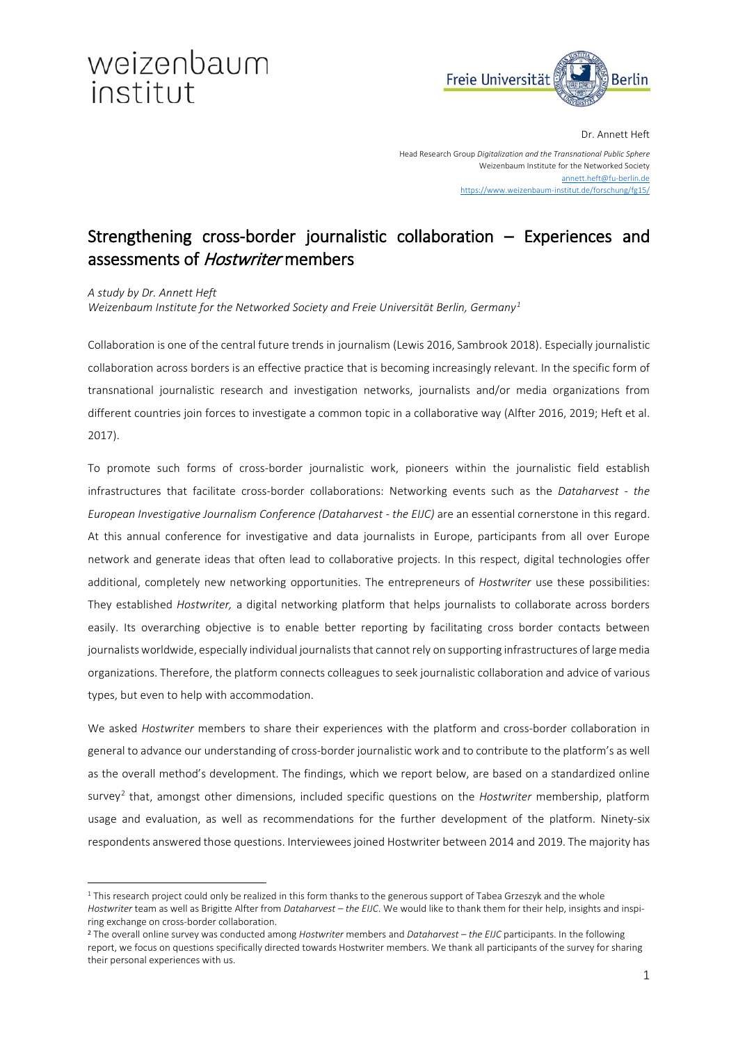# weizenbaum institut



Dr. Annett Heft

Head Research Group *Digitalization and the Transnational Public Sphere* Weizenbaum Institute for the Networked Society [annett.heft@fu-berlin.de](mailto:annett.heft@fu-berlin.de) [https://www.weizenbaum-institut.de/forschung/fg15/](https://vernetzung-und-gesellschaft.de/fg15/)

## Strengthening cross-border journalistic collaboration – Experiences and assessments of Hostwriter members

*A study by Dr. Annett Heft*

 $\overline{a}$ 

*Weizenbaum Institute for the Networked Society and Freie Universität Berlin, Germany[1](#page-1-0)*

Collaboration is one of the central future trends in journalism (Lewis 2016, Sambrook 2018). Especially journalistic collaboration across borders is an effective practice that is becoming increasingly relevant. In the specific form of transnational journalistic research and investigation networks, journalists and/or media organizations from different countries join forces to investigate a common topic in a collaborative way (Alfter 2016, 2019; Heft et al. 2017).

To promote such forms of cross-border journalistic work, pioneers within the journalistic field establish infrastructures that facilitate cross-border collaborations: Networking events such as the *Dataharvest - the European Investigative Journalism Conference (Dataharvest - the EIJC)* are an essential cornerstone in this regard. At this annual conference for investigative and data journalists in Europe, participants from all over Europe network and generate ideas that often lead to collaborative projects. In this respect, digital technologies offer additional, completely new networking opportunities. The entrepreneurs of *Hostwriter* use these possibilities: They established *Hostwriter,* a digital networking platform that helps journalists to collaborate across borders easily. Its overarching objective is to enable better reporting by facilitating cross border contacts between journalists worldwide, especially individual journalists that cannot rely on supporting infrastructures of large media organizations. Therefore, the platform connects colleagues to seek journalistic collaboration and advice of various types, but even to help with accommodation.

We asked *Hostwriter* members to share their experiences with the platform and cross-border collaboration in general to advance our understanding of cross-border journalistic work and to contribute to the platform's as well as the overall method's development. The findings, which we report below, are based on a standardized online survey[2](#page-0-0) that, amongst other dimensions, included specific questions on the *Hostwriter* membership, platform usage and evaluation, as well as recommendations for the further development of the platform. Ninety-six respondents answered those questions. Interviewees joined Hostwriter between 2014 and 2019. The majority has

<sup>&</sup>lt;sup>1</sup> This research project could only be realized in this form thanks to the generous support of Tabea Grzeszyk and the whole *Hostwriter* team as well as Brigitte Alfter from *Dataharvest – the EIJC*. We would like to thank them for their help, insights and inspiring exchange on cross-border collaboration.

<span id="page-0-0"></span><sup>2</sup> The overall online survey was conducted among *Hostwriter* members and *Dataharvest – the EIJC* participants. In the following report, we focus on questions specifically directed towards Hostwriter members. We thank all participants of the survey for sharing their personal experiences with us.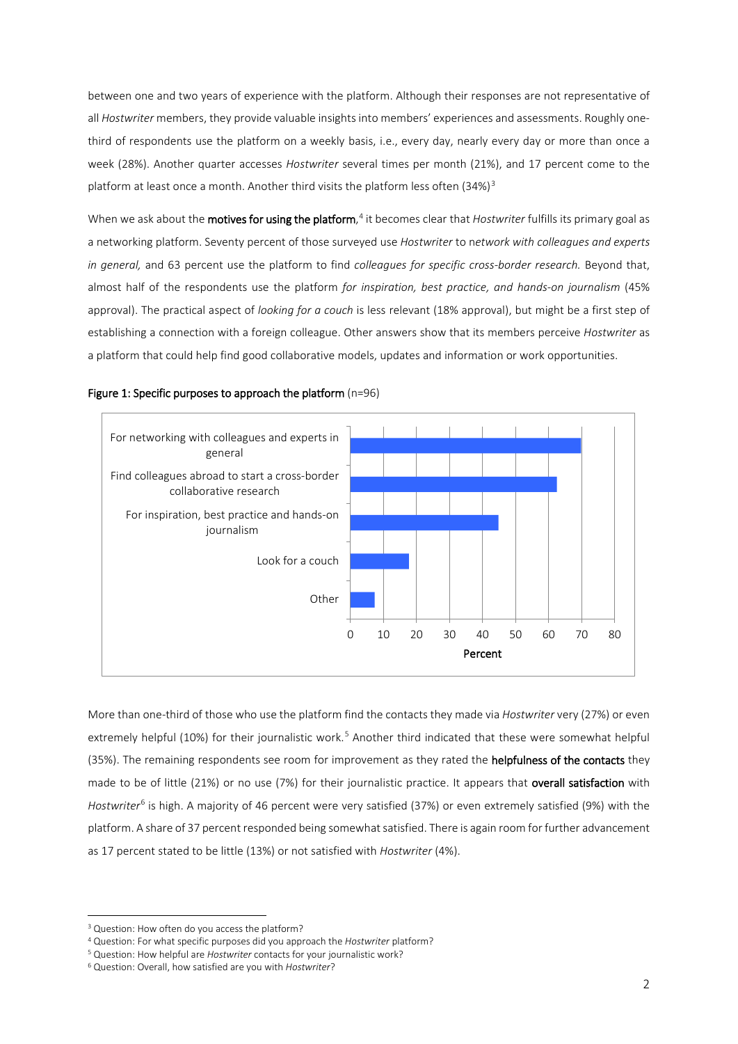between one and two years of experience with the platform. Although their responses are not representative of all *Hostwriter* members, they provide valuable insights into members' experiences and assessments. Roughly onethird of respondents use the platform on a weekly basis, i.e., every day, nearly every day or more than once a week (28%). Another quarter accesses *Hostwriter* several times per month (21%), and 17 percent come to the platform at least once a month. Another third visits the platform less often  $(34%)^3$  $(34%)^3$  $(34%)^3$ 

When we ask about the **motives for using the platform**,<sup>[4](#page-1-2)</sup> it becomes clear that *Hostwriter* fulfills its primary goal as a networking platform. Seventy percent of those surveyed use *Hostwriter* to n*etwork with colleagues and experts in general,* and 63 percent use the platform to find *colleagues for specific cross-border research.* Beyond that, almost half of the respondents use the platform *for inspiration, best practice, and hands-on journalism* (45% approval). The practical aspect of *looking for a couch* is less relevant (18% approval), but might be a first step of establishing a connection with a foreign colleague. Other answers show that its members perceive *Hostwriter* as a platform that could help find good collaborative models, updates and information or work opportunities.

<span id="page-1-0"></span>

### Figure 1: Specific purposes to approach the platform (n=96)

More than one-third of those who use the platform find the contacts they made via *Hostwriter* very (27%) or even extremely helpful (10%) for their journalistic work.<sup>[5](#page-1-3)</sup> Another third indicated that these were somewhat helpful (35%). The remaining respondents see room for improvement as they rated the helpfulness of the contacts they made to be of little (21%) or no use (7%) for their journalistic practice. It appears that overall satisfaction with *Hostwriter*[6](#page-1-4) is high. A majority of 46 percent were very satisfied (37%) or even extremely satisfied (9%) with the platform. A share of 37 percent responded being somewhat satisfied. There is again room for further advancement as 17 percent stated to be little (13%) or not satisfied with *Hostwriter* (4%).

**.** 

<span id="page-1-1"></span><sup>&</sup>lt;sup>3</sup> Question: How often do you access the platform?

<span id="page-1-2"></span><sup>4</sup> Question: For what specific purposes did you approach the *Hostwriter* platform?

<span id="page-1-3"></span><sup>5</sup> Question: How helpful are *Hostwriter* contacts for your journalistic work?

<span id="page-1-4"></span><sup>6</sup> Question: Overall, how satisfied are you with *Hostwriter*?